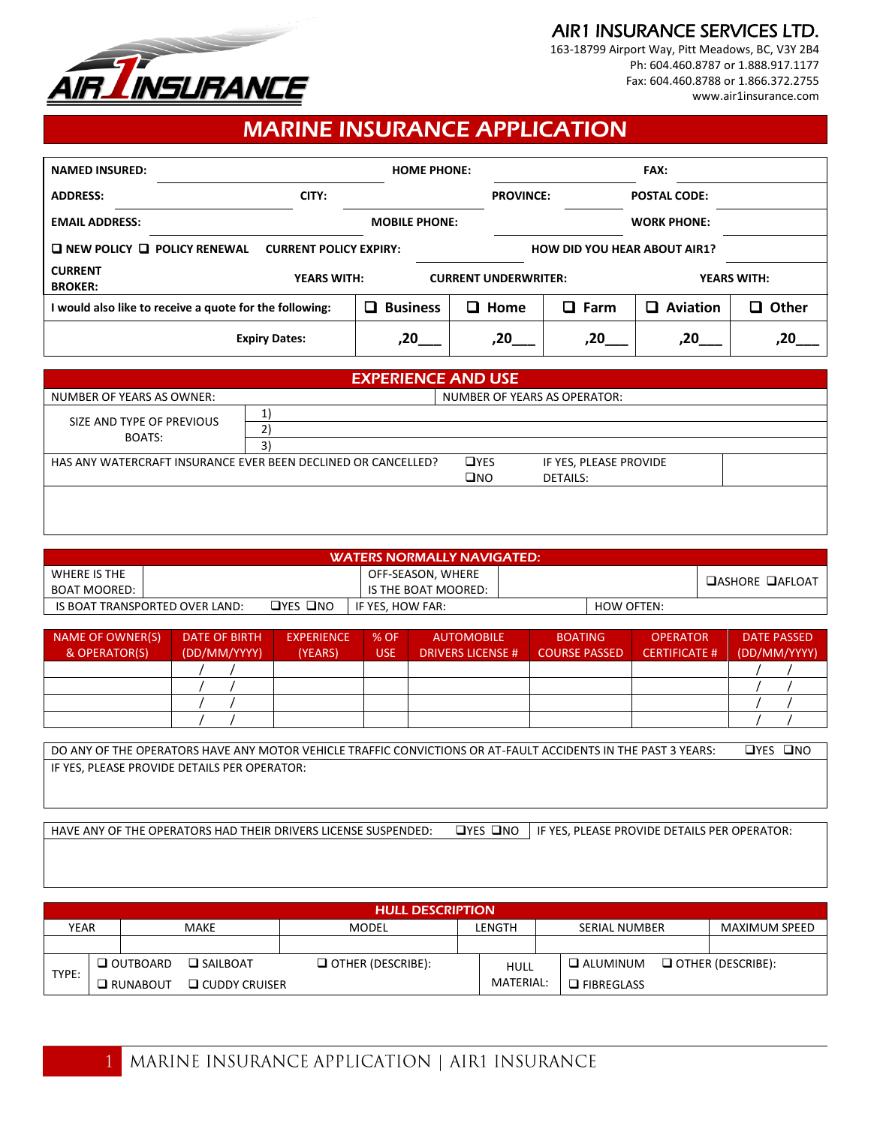

AIR1 INSURANCE SERVICES LTD.

163-18799 Airport Way, Pitt Meadows, BC, V3Y 2B4 Ph: 604.460.8787 or 1.888.917.1177 Fax: 604.460.8788 or 1.866.372.2755 [www.air1insurance.com](http://www.air1insurance.com/)

## MARINE INSURANCE APPLICATION

| <b>NAMED INSURED:</b>                   |                                                         |                                     |                      | <b>HOME PHONE:</b> |                             | <b>FAX:</b>         |                    |                    |  |
|-----------------------------------------|---------------------------------------------------------|-------------------------------------|----------------------|--------------------|-----------------------------|---------------------|--------------------|--------------------|--|
| CITY:<br><b>ADDRESS:</b>                |                                                         |                                     |                      | <b>PROVINCE:</b>   |                             | <b>POSTAL CODE:</b> |                    |                    |  |
| <b>EMAIL ADDRESS:</b>                   |                                                         |                                     | <b>MOBILE PHONE:</b> |                    |                             |                     | <b>WORK PHONE:</b> |                    |  |
| $\Box$ NEW POLICY $\Box$ POLICY RENEWAL | <b>CURRENT POLICY EXPIRY:</b>                           | <b>HOW DID YOU HEAR ABOUT AIR1?</b> |                      |                    |                             |                     |                    |                    |  |
| <b>CURRENT</b><br><b>BROKER:</b>        |                                                         | <b>YEARS WITH:</b>                  |                      |                    | <b>CURRENT UNDERWRITER:</b> |                     |                    | <b>YEARS WITH:</b> |  |
|                                         | I would also like to receive a quote for the following: |                                     | <b>Business</b>      |                    | $\square$ Home              | $\square$ Farm      | <b>Aviation</b>    | Other<br>0         |  |
|                                         | <b>Expiry Dates:</b>                                    |                                     | ,20                  |                    | .20                         | .20                 | .20                |                    |  |

| <b>EXPERIENCE AND USE</b> |                                                               |              |                        |  |  |  |  |  |
|---------------------------|---------------------------------------------------------------|--------------|------------------------|--|--|--|--|--|
| NUMBER OF YEARS AS OWNER: | NUMBER OF YEARS AS OPERATOR:                                  |              |                        |  |  |  |  |  |
| SIZE AND TYPE OF PREVIOUS | n.                                                            |              |                        |  |  |  |  |  |
| BOATS:                    | 3                                                             |              |                        |  |  |  |  |  |
|                           | HAS ANY WATERCRAFT INSURANCE EVER BEEN DECLINED OR CANCELLED? | <b>OYES</b>  | IF YES, PLEASE PROVIDE |  |  |  |  |  |
|                           |                                                               | $\square$ NO | DETAILS:               |  |  |  |  |  |
|                           |                                                               |              |                        |  |  |  |  |  |
|                           |                                                               |              |                        |  |  |  |  |  |

| <b>WATERS NORMALLY NAVIGATED:</b> |  |                      |                     |  |            |                        |  |  |
|-----------------------------------|--|----------------------|---------------------|--|------------|------------------------|--|--|
| WHERE IS THE                      |  |                      | OFF-SEASON, WHERE   |  |            | <b>DASHORE DAFLOAT</b> |  |  |
| BOAT MOORED:                      |  |                      | IS THE BOAT MOORED: |  |            |                        |  |  |
| IS BOAT TRANSPORTED OVER LAND:    |  | $\Box$ YES $\Box$ NO | IF YES. HOW FAR:    |  | HOW OFTEN: |                        |  |  |

| NAME OF OWNER(S)<br>& OPERATOR(S) | DATE OF BIRTH<br>(DD/MM/YYYY) | <b>EXPERIENCE</b><br>(YEARS) | % OF<br>USE. | <b>AUTOMOBILE</b><br><b>DRIVERS LICENSE #</b> | <b>BOATING</b><br><b>COURSE PASSED</b> | <b>OPERATOR</b><br><b>CERTIFICATE #</b> | <b>DATE PASSED</b><br>(DD/MM/YYYY) |
|-----------------------------------|-------------------------------|------------------------------|--------------|-----------------------------------------------|----------------------------------------|-----------------------------------------|------------------------------------|
|                                   |                               |                              |              |                                               |                                        |                                         |                                    |
|                                   |                               |                              |              |                                               |                                        |                                         |                                    |
|                                   |                               |                              |              |                                               |                                        |                                         |                                    |
|                                   |                               |                              |              |                                               |                                        |                                         |                                    |

| T ACCIDENTS IN THE PAST 3 YEARS:                                                | $\square$ YES |
|---------------------------------------------------------------------------------|---------------|
| DO ANY OF THE OPERATORS HAVE ANY MOTOR VEHICLE TRAFFIC CONVICTIONS OR AT-FAULT. | Пис           |
| IF YES. PLEASE PROVIDE DETAILS PER OPERATOR:                                    |               |

HAVE ANY OF THE OPERATORS HAD THEIR DRIVERS LICENSE SUSPENDED: UYES UNO IF YES, PLEASE PROVIDE DETAILS PER OPERATOR:

| <b>HULL DESCRIPTION</b> |  |                                           |                 |                          |        |             |                      |                      |                          |
|-------------------------|--|-------------------------------------------|-----------------|--------------------------|--------|-------------|----------------------|----------------------|--------------------------|
| YEAR<br><b>MAKE</b>     |  |                                           | MODEL           |                          | LENGTH |             | <b>SERIAL NUMBER</b> | <b>MAXIMUM SPEED</b> |                          |
|                         |  |                                           |                 |                          |        |             |                      |                      |                          |
| TYPE:                   |  | $\Box$ OUTBOARD                           | $\Box$ SAILBOAT | $\Box$ OTHER (DESCRIBE): |        | <b>HULL</b> |                      | $\Box$ ALUMINUM      | $\Box$ OTHER (DESCRIBE): |
|                         |  | $\Box$ CUDDY CRUISER<br><b>O</b> RUNABOUT |                 |                          |        | MATERIAL:   |                      | $\Box$ FIBREGLASS    |                          |

 $\mathbf{1}$